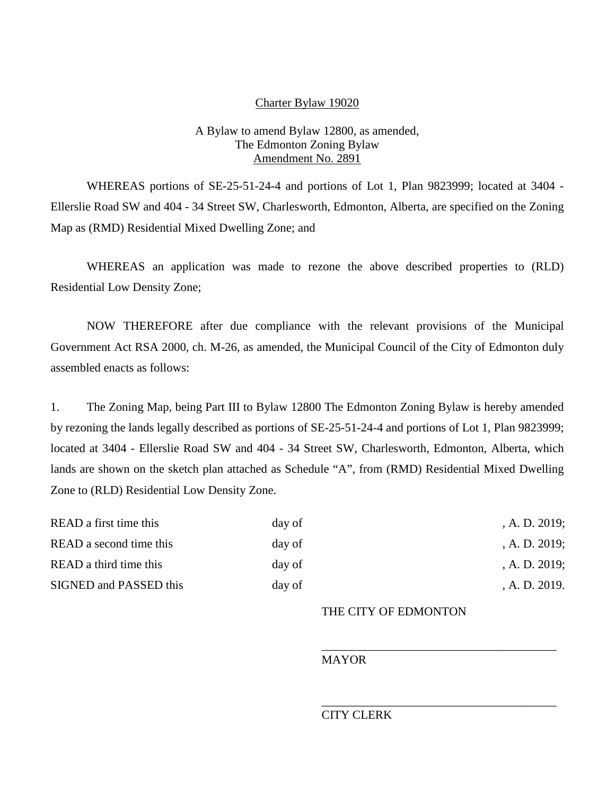### Charter Bylaw 19020

## A Bylaw to amend Bylaw 12800, as amended, The Edmonton Zoning Bylaw Amendment No. 2891

WHEREAS portions of SE-25-51-24-4 and portions of Lot 1, Plan 9823999; located at 3404 - Ellerslie Road SW and 404 - 34 Street SW, Charlesworth, Edmonton, Alberta, are specified on the Zoning Map as (RMD) Residential Mixed Dwelling Zone; and

WHEREAS an application was made to rezone the above described properties to (RLD) Residential Low Density Zone;

NOW THEREFORE after due compliance with the relevant provisions of the Municipal Government Act RSA 2000, ch. M-26, as amended, the Municipal Council of the City of Edmonton duly assembled enacts as follows:

1. The Zoning Map, being Part III to Bylaw 12800 The Edmonton Zoning Bylaw is hereby amended by rezoning the lands legally described as portions of SE-25-51-24-4 and portions of Lot 1, Plan 9823999; located at 3404 - Ellerslie Road SW and 404 - 34 Street SW, Charlesworth, Edmonton, Alberta, which lands are shown on the sketch plan attached as Schedule "A", from (RMD) Residential Mixed Dwelling Zone to (RLD) Residential Low Density Zone.

| READ a first time this  | day of | , A. D. $2019$ ; |
|-------------------------|--------|------------------|
| READ a second time this | day of | , A. D. $2019$ ; |
| READ a third time this  | day of | , A. D. $2019$ ; |
| SIGNED and PASSED this  | day of | A. D. 2019.      |

### THE CITY OF EDMONTON

\_\_\_\_\_\_\_\_\_\_\_\_\_\_\_\_\_\_\_\_\_\_\_\_\_\_\_\_\_\_\_\_\_\_\_\_\_\_\_

\_\_\_\_\_\_\_\_\_\_\_\_\_\_\_\_\_\_\_\_\_\_\_\_\_\_\_\_\_\_\_\_\_\_\_\_\_\_\_

#### **MAYOR**

# CITY CLERK